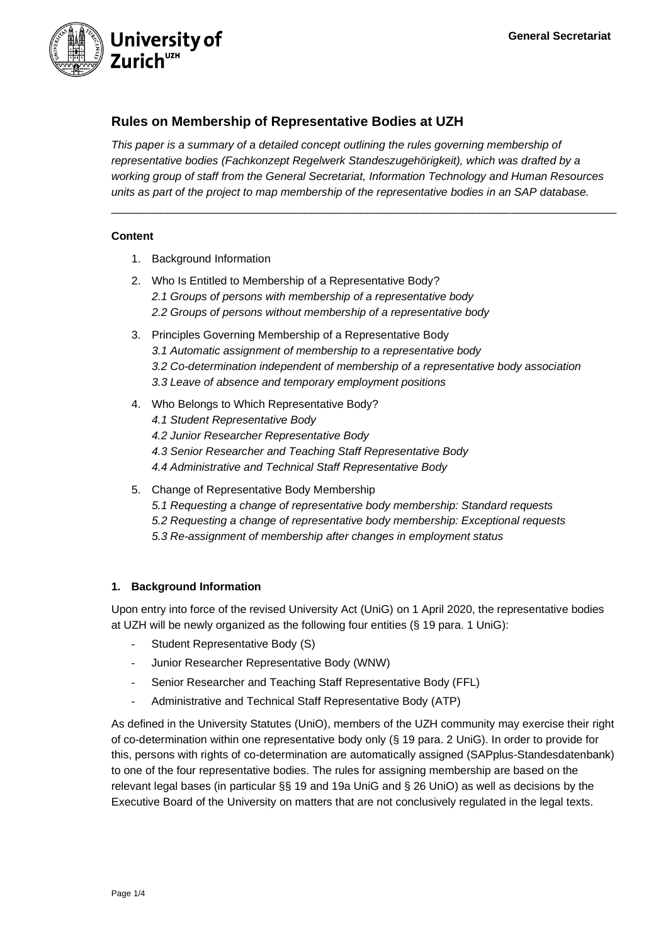

# **Rules on Membership of Representative Bodies at UZH**

*This paper is a summary of a detailed concept outlining the rules governing membership of representative bodies (Fachkonzept Regelwerk Standeszugehörigkeit), which was drafted by a working group of staff from the General Secretariat, Information Technology and Human Resources units as part of the project to map membership of the representative bodies in an SAP database.*

\_\_\_\_\_\_\_\_\_\_\_\_\_\_\_\_\_\_\_\_\_\_\_\_\_\_\_\_\_\_\_\_\_\_\_\_\_\_\_\_\_\_\_\_\_\_\_\_\_\_\_\_\_\_\_\_\_\_\_\_\_\_\_\_\_\_\_\_\_\_\_\_\_\_\_\_\_\_\_\_\_

### **Content**

- 1. Background Information
- 2. Who Is Entitled to Membership of a Representative Body? *2.1 Groups of persons with membership of a representative body 2.2 Groups of persons without membership of a representative body*
- 3. Principles Governing Membership of a Representative Body *3.1 Automatic assignment of membership to a representative body 3.2 Co-determination independent of membership of a representative body association 3.3 Leave of absence and temporary employment positions*
- 4. Who Belongs to Which Representative Body? *4.1 Student Representative Body 4.2 Junior Researcher Representative Body 4.3 Senior Researcher and Teaching Staff Representative Body 4.4 Administrative and Technical Staff Representative Body*
- 5. Change of Representative Body Membership *5.1 Requesting a change of representative body membership: Standard requests 5.2 Requesting a change of representative body membership: Exceptional requests 5.3 Re-assignment of membership after changes in employment status*

### **1. Background Information**

Upon entry into force of the revised University Act (UniG) on 1 April 2020, the representative bodies at UZH will be newly organized as the following four entities (§ 19 para. 1 UniG):

- Student Representative Body (S)
- Junior Researcher Representative Body (WNW)
- Senior Researcher and Teaching Staff Representative Body (FFL)
- Administrative and Technical Staff Representative Body (ATP)

As defined in the University Statutes (UniO), members of the UZH community may exercise their right of co-determination within one representative body only (§ 19 para. 2 UniG). In order to provide for this, persons with rights of co-determination are automatically assigned (SAPplus-Standesdatenbank) to one of the four representative bodies. The rules for assigning membership are based on the relevant legal bases (in particular §§ 19 and 19a UniG and § 26 UniO) as well as decisions by the Executive Board of the University on matters that are not conclusively regulated in the legal texts.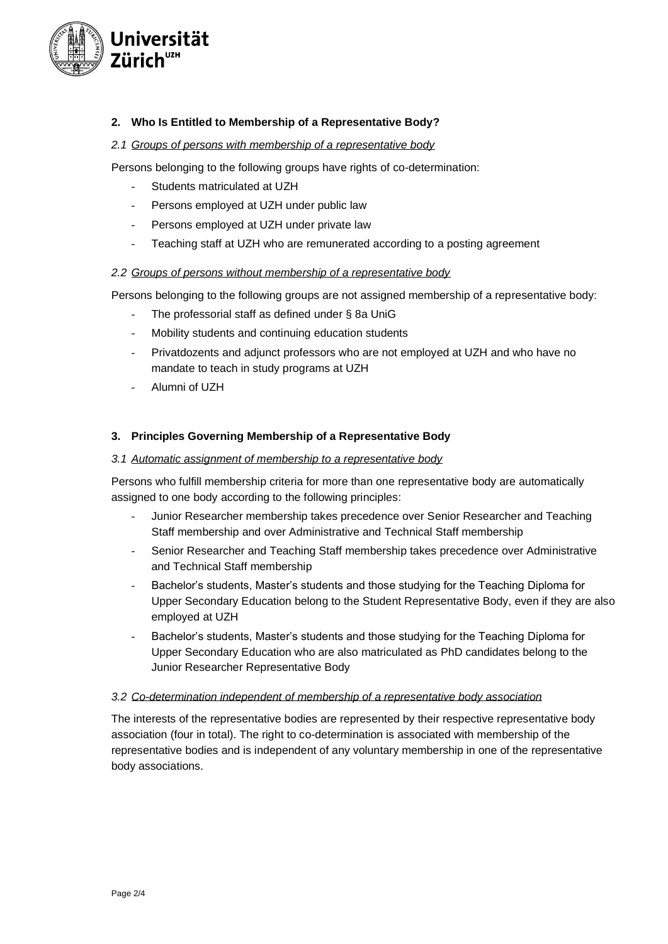

## **2. Who Is Entitled to Membership of a Representative Body?**

### *2.1 Groups of persons with membership of a representative body*

Persons belonging to the following groups have rights of co-determination:

- Students matriculated at UZH
- Persons employed at UZH under public law
- Persons employed at UZH under private law
- Teaching staff at UZH who are remunerated according to a posting agreement

### *2.2 Groups of persons without membership of a representative body*

Persons belonging to the following groups are not assigned membership of a representative body:

- The professorial staff as defined under § 8a UniG
- Mobility students and continuing education students
- Privatdozents and adjunct professors who are not employed at UZH and who have no mandate to teach in study programs at UZH
- Alumni of UZH

### **3. Principles Governing Membership of a Representative Body**

### *3.1 Automatic assignment of membership to a representative body*

Persons who fulfill membership criteria for more than one representative body are automatically assigned to one body according to the following principles:

- Junior Researcher membership takes precedence over Senior Researcher and Teaching Staff membership and over Administrative and Technical Staff membership
- Senior Researcher and Teaching Staff membership takes precedence over Administrative and Technical Staff membership
- Bachelor's students, Master's students and those studying for the Teaching Diploma for Upper Secondary Education belong to the Student Representative Body, even if they are also employed at UZH
- Bachelor's students, Master's students and those studying for the Teaching Diploma for Upper Secondary Education who are also matriculated as PhD candidates belong to the Junior Researcher Representative Body

### *3.2 Co-determination independent of membership of a representative body association*

The interests of the representative bodies are represented by their respective representative body association (four in total). The right to co-determination is associated with membership of the representative bodies and is independent of any voluntary membership in one of the representative body associations.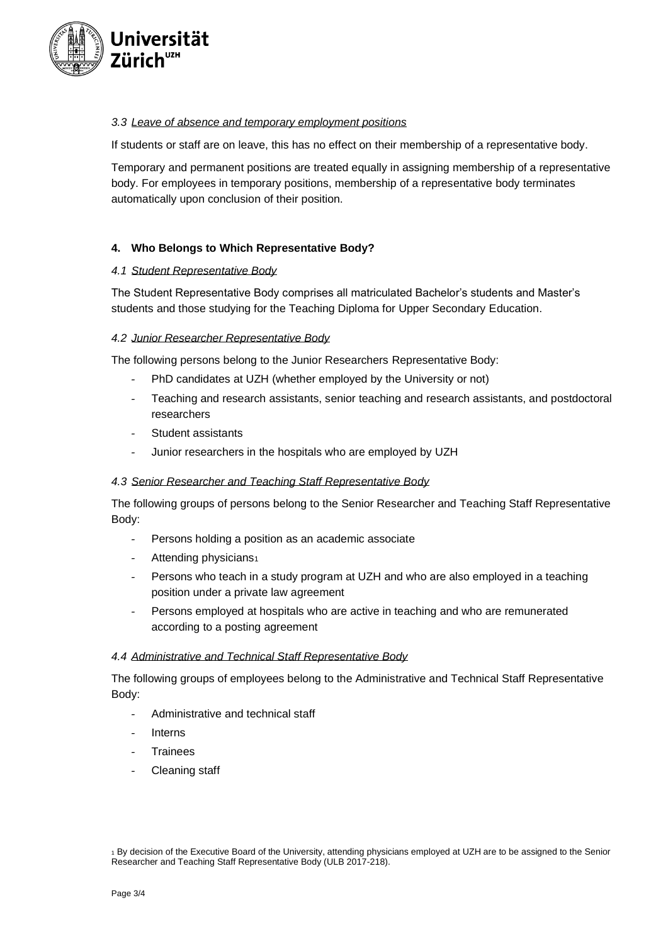

# *3.3 Leave of absence and temporary employment positions*

If students or staff are on leave, this has no effect on their membership of a representative body.

Temporary and permanent positions are treated equally in assigning membership of a representative body. For employees in temporary positions, membership of a representative body terminates automatically upon conclusion of their position.

# **4. Who Belongs to Which Representative Body?**

### *4.1 Student Representative Body*

The Student Representative Body comprises all matriculated Bachelor's students and Master's students and those studying for the Teaching Diploma for Upper Secondary Education.

### *4.2 Junior Researcher Representative Body*

The following persons belong to the Junior Researchers Representative Body:

- PhD candidates at UZH (whether employed by the University or not)
- Teaching and research assistants, senior teaching and research assistants, and postdoctoral researchers
- Student assistants
- Junior researchers in the hospitals who are employed by UZH

### *4.3 Senior Researcher and Teaching Staff Representative Body*

The following groups of persons belong to the Senior Researcher and Teaching Staff Representative Body:

- Persons holding a position as an academic associate
- Attending physicians<sup>1</sup>
- Persons who teach in a study program at UZH and who are also employed in a teaching position under a private law agreement
- Persons employed at hospitals who are active in teaching and who are remunerated according to a posting agreement

### *4.4 Administrative and Technical Staff Representative Body*

The following groups of employees belong to the Administrative and Technical Staff Representative Body:

- Administrative and technical staff
- **Interns**
- **Trainees**
- Cleaning staff

<sup>1</sup> By decision of the Executive Board of the University, attending physicians employed at UZH are to be assigned to the Senior Researcher and Teaching Staff Representative Body (ULB 2017-218).